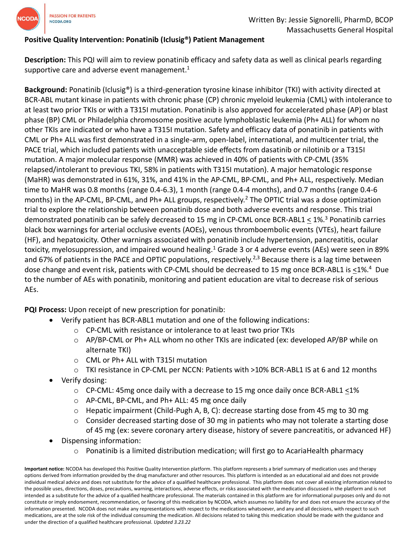

## **Positive Quality Intervention: Ponatinib (Iclusig®) Patient Management**

**Description:** This PQI will aim to review ponatinib efficacy and safety data as well as clinical pearls regarding supportive care and adverse event management.<sup>1</sup>

**Background:** Ponatinib (Iclusig®) is a third-generation tyrosine kinase inhibitor (TKI) with activity directed at BCR-ABL mutant kinase in patients with chronic phase (CP) chronic myeloid leukemia (CML) with intolerance to at least two prior TKIs or with a T315I mutation. Ponatinib is also approved for accelerated phase (AP) or blast phase (BP) CML or Philadelphia chromosome positive acute lymphoblastic leukemia (Ph+ ALL) for whom no other TKIs are indicated or who have a T315I mutation. Safety and efficacy data of ponatinib in patients with CML or Ph+ ALL was first demonstrated in a single-arm, open-label, international, and multicenter trial, the PACE trial, which included patients with unacceptable side effects from dasatinib or nilotinib or a T315I mutation. A major molecular response (MMR) was achieved in 40% of patients with CP-CML (35% relapsed/intolerant to previous TKI, 58% in patients with T315I mutation). A major hematologic response (MaHR) was demonstrated in 61%, 31%, and 41% in the AP-CML, BP-CML, and Ph+ ALL, respectively. Median time to MaHR was 0.8 months (range 0.4-6.3), 1 month (range 0.4-4 months), and 0.7 months (range 0.4-6 months) in the AP-CML, BP-CML, and Ph+ ALL groups, respectively.<sup>2</sup> The OPTIC trial was a dose optimization trial to explore the relationship between ponatinib dose and both adverse events and response. This trial demonstrated ponatinib can be safely decreased to 15 mg in CP-CML once BCR-ABL1 < 1%.<sup>3</sup> Ponatinib carries black box warnings for arterial occlusive events (AOEs), venous thromboembolic events (VTEs), heart failure (HF), and hepatoxicity. Other warnings associated with ponatinib include hypertension, pancreatitis, ocular toxicity, myelosuppression, and impaired wound healing.<sup>1</sup> Grade 3 or 4 adverse events (AEs) were seen in 89% and 67% of patients in the PACE and OPTIC populations, respectively.<sup>2,3</sup> Because there is a lag time between dose change and event risk, patients with CP-CML should be decreased to 15 mg once BCR-ABL1 is <1%.<sup>4</sup> Due to the number of AEs with ponatinib, monitoring and patient education are vital to decrease risk of serious AEs.

**PQI Process:** Upon receipt of new prescription for ponatinib:

- Verify patient has BCR-ABL1 mutation and one of the following indications:
	- o CP-CML with resistance or intolerance to at least two prior TKIs
	- $\circ$  AP/BP-CML or Ph+ ALL whom no other TKIs are indicated (ex: developed AP/BP while on alternate TKI)
	- o CML or Ph+ ALL with T315I mutation
	- o TKI resistance in CP-CML per NCCN: Patients with >10% BCR-ABL1 IS at 6 and 12 months
- Verify dosing:
	- $\circ$  CP-CML: 45mg once daily with a decrease to 15 mg once daily once BCR-ABL1 <1%
	- o AP-CML, BP-CML, and Ph+ ALL: 45 mg once daily
	- $\circ$  Hepatic impairment (Child-Pugh A, B, C): decrease starting dose from 45 mg to 30 mg
	- $\circ$  Consider decreased starting dose of 30 mg in patients who may not tolerate a starting dose of 45 mg (ex: severe coronary artery disease, history of severe pancreatitis, or advanced HF)
- Dispensing information:
	- $\circ$  Ponatinib is a limited distribution medication; will first go to AcariaHealth pharmacy

**Important notice:** NCODA has developed this Positive Quality Intervention platform. This platform represents a brief summary of medication uses and therapy options derived from information provided by the drug manufacturer and other resources. This platform is intended as an educational aid and does not provide individual medical advice and does not substitute for the advice of a qualified healthcare professional. This platform does not cover all existing information related to the possible uses, directions, doses, precautions, warning, interactions, adverse effects, or risks associated with the medication discussed in the platform and is not intended as a substitute for the advice of a qualified healthcare professional. The materials contained in this platform are for informational purposes only and do not constitute or imply endorsement, recommendation, or favoring of this medication by NCODA, which assumes no liability for and does not ensure the accuracy of the information presented. NCODA does not make any representations with respect to the medications whatsoever, and any and all decisions, with respect to such medications, are at the sole risk of the individual consuming the medication. All decisions related to taking this medication should be made with the guidance and under the direction of a qualified healthcare professional. *Updated 3.23.22*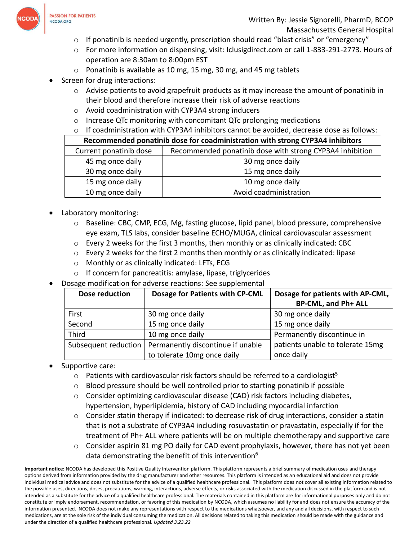

- o If ponatinib is needed urgently, prescription should read "blast crisis" or "emergency"
- o For more information on dispensing, visit: Iclusigdirect.com or call 1-833-291-2773. Hours of operation are 8:30am to 8:00pm EST
- $\circ$  Ponatinib is available as 10 mg, 15 mg, 30 mg, and 45 mg tablets
- Screen for drug interactions:
	- $\circ$  Advise patients to avoid grapefruit products as it may increase the amount of ponatinib in their blood and therefore increase their risk of adverse reactions
	- o Avoid coadministration with CYP3A4 strong inducers
	- o Increase QTc monitoring with concomitant QTc prolonging medications
	- $\circ$  If coadministration with CYP3A4 inhibitors cannot be avoided, decrease dose as follows:

| Recommended ponatinib dose for coadministration with strong CYP3A4 inhibitors |                                                          |  |  |
|-------------------------------------------------------------------------------|----------------------------------------------------------|--|--|
| Current ponatinib dose                                                        | Recommended ponatinib dose with strong CYP3A4 inhibition |  |  |
| 45 mg once daily                                                              | 30 mg once daily                                         |  |  |
| 30 mg once daily                                                              | 15 mg once daily                                         |  |  |
| 15 mg once daily                                                              | 10 mg once daily                                         |  |  |
| 10 mg once daily                                                              | Avoid coadministration                                   |  |  |

- Laboratory monitoring:
	- o Baseline: CBC, CMP, ECG, Mg, fasting glucose, lipid panel, blood pressure, comprehensive eye exam, TLS labs, consider baseline ECHO/MUGA, clinical cardiovascular assessment
	- $\circ$  Every 2 weeks for the first 3 months, then monthly or as clinically indicated: CBC
	- $\circ$  Every 2 weeks for the first 2 months then monthly or as clinically indicated: lipase
	- o Monthly or as clinically indicated: LFTs, ECG
	- $\circ$  If concern for pancreatitis: amylase, lipase, triglycerides
- Dosage modification for adverse reactions: See supplemental

| Dose reduction       | Dosage for Patients with CP-CML   | Dosage for patients with AP-CML, |
|----------------------|-----------------------------------|----------------------------------|
|                      |                                   | <b>BP-CML, and Ph+ ALL</b>       |
| First                | 30 mg once daily                  | 30 mg once daily                 |
| Second               | 15 mg once daily                  | 15 mg once daily                 |
| <b>Third</b>         | 10 mg once daily                  | Permanently discontinue in       |
| Subsequent reduction | Permanently discontinue if unable | patients unable to tolerate 15mg |
|                      | to tolerate 10mg once daily       | once daily                       |

- Supportive care:
	- $\circ$  Patients with cardiovascular risk factors should be referred to a cardiologist<sup>5</sup>
	- o Blood pressure should be well controlled prior to starting ponatinib if possible
	- $\circ$  Consider optimizing cardiovascular disease (CAD) risk factors including diabetes, hypertension, hyperlipidemia, history of CAD including myocardial infarction
	- o Consider statin therapy if indicated: to decrease risk of drug interactions, consider a statin that is not a substrate of CYP3A4 including rosuvastatin or pravastatin, especially if for the treatment of Ph+ ALL where patients will be on multiple chemotherapy and supportive care
	- o Consider aspirin 81 mg PO daily for CAD event prophylaxis, however, there has not yet been data demonstrating the benefit of this intervention<sup>6</sup>

**Important notice:** NCODA has developed this Positive Quality Intervention platform. This platform represents a brief summary of medication uses and therapy options derived from information provided by the drug manufacturer and other resources. This platform is intended as an educational aid and does not provide individual medical advice and does not substitute for the advice of a qualified healthcare professional. This platform does not cover all existing information related to the possible uses, directions, doses, precautions, warning, interactions, adverse effects, or risks associated with the medication discussed in the platform and is not intended as a substitute for the advice of a qualified healthcare professional. The materials contained in this platform are for informational purposes only and do not constitute or imply endorsement, recommendation, or favoring of this medication by NCODA, which assumes no liability for and does not ensure the accuracy of the information presented. NCODA does not make any representations with respect to the medications whatsoever, and any and all decisions, with respect to such medications, are at the sole risk of the individual consuming the medication. All decisions related to taking this medication should be made with the guidance and under the direction of a qualified healthcare professional. *Updated 3.23.22*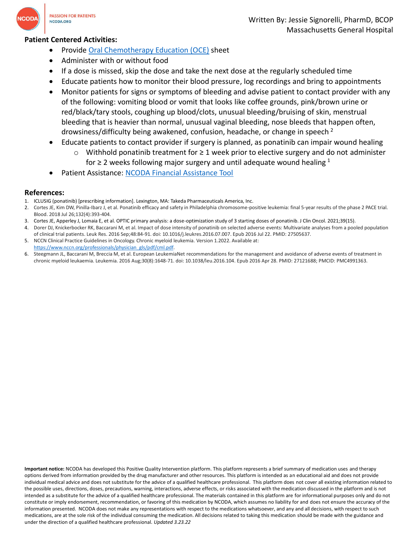

## **Patient Centered Activities:**

- Provide [Oral Chemotherapy Education \(OCE\)](https://www.oralchemoedsheets.com/sheets/Ponatinib_Patient_Education.pdf) sheet
- Administer with or without food
- If a dose is missed, skip the dose and take the next dose at the regularly scheduled time
- Educate patients how to monitor their blood pressure, log recordings and bring to appointments
- Monitor patients for signs or symptoms of bleeding and advise patient to contact provider with any of the following: vomiting blood or vomit that looks like coffee grounds, pink/brown urine or red/black/tary stools, coughing up blood/clots, unusual bleeding/bruising of skin, menstrual bleeding that is heavier than normal, unusual vaginal bleeding, nose bleeds that happen often, drowsiness/difficulty being awakened, confusion, headache, or change in speech  $2$
- Educate patients to contact provider if surgery is planned, as ponatinib can impair wound healing
	- o Withhold ponatinib treatment for ≥ 1 week prior to elective surgery and do not administer for  $\geq$  2 weeks following major surgery and until adequate wound healing <sup>1</sup>
- Patient Assistance: [NCODA Financial Assistance Tool](https://www.ncoda.org/financial-assistance/)

## **References:**

- 1. ICLUSIG (ponatinib) [prescribing information]. Lexington, MA: Takeda Pharmaceuticals America, Inc.
- 2. Cortes JE, Kim DW, Pinilla-Ibarz J, et al. Ponatinib efficacy and safety in Philadelphia chromosome-positive leukemia: final 5-year results of the phase 2 PACE trial. Blood. 2018 Jul 26;132(4):393-404.
- 3. Cortes JE, Apperley J, Lomaia E, et al. OPTIC primary analysis: a dose-optimization study of 3 starting doses of ponatinib. J Clin Oncol. 2021;39(15).
- 4. Dorer DJ, Knickerbocker RK, Baccarani M, et al. Impact of dose intensity of ponatinib on selected adverse events: Multivariate analyses from a pooled population of clinical trial patients. Leuk Res. 2016 Sep;48:84-91. doi: 10.1016/j.leukres.2016.07.007. Epub 2016 Jul 22. PMID: 27505637.
- 5. NCCN Clinical Practice Guidelines in Oncology. Chronic myeloid leukemia. Version 1.2022. Available at:
- [https://www.nccn.org/professionals/physician\\_gls/pdf/cml.pdf.](https://www.nccn.org/professionals/physician_gls/pdf/cml.pdf) 6. Steegmann JL, Baccarani M, Breccia M, et al. European LeukemiaNet recommendations for the management and avoidance of adverse events of treatment in chronic myeloid leukaemia. Leukemia. 2016 Aug;30(8):1648-71. doi: 10.1038/leu.2016.104. Epub 2016 Apr 28. PMID: 27121688; PMCID: PMC4991363.

**Important notice:** NCODA has developed this Positive Quality Intervention platform. This platform represents a brief summary of medication uses and therapy options derived from information provided by the drug manufacturer and other resources. This platform is intended as an educational aid and does not provide individual medical advice and does not substitute for the advice of a qualified healthcare professional. This platform does not cover all existing information related to the possible uses, directions, doses, precautions, warning, interactions, adverse effects, or risks associated with the medication discussed in the platform and is not intended as a substitute for the advice of a qualified healthcare professional. The materials contained in this platform are for informational purposes only and do not constitute or imply endorsement, recommendation, or favoring of this medication by NCODA, which assumes no liability for and does not ensure the accuracy of the information presented. NCODA does not make any representations with respect to the medications whatsoever, and any and all decisions, with respect to such medications, are at the sole risk of the individual consuming the medication. All decisions related to taking this medication should be made with the guidance and under the direction of a qualified healthcare professional. *Updated 3.23.22*